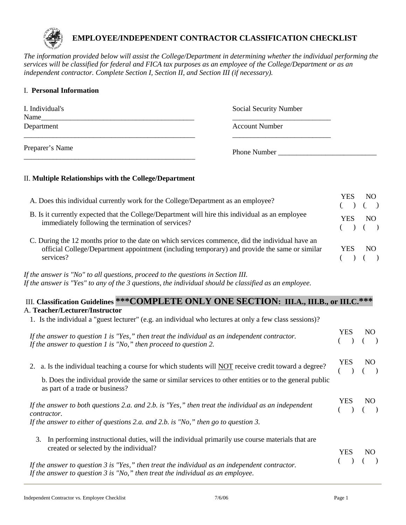

# **EMPLOYEE/INDEPENDENT CONTRACTOR CLASSIFICATION CHECKLIST**

*The information provided below will assist the College/Department in determining whether the individual performing the services will be classified for federal and FICA tax purposes as an employee of the College/Department or as an independent contractor. Complete Section I, Section II, and Section III (if necessary).*

### I. **Personal Information**

| I. Individual's<br>Name | <b>Social Security Number</b> |
|-------------------------|-------------------------------|
| Department              | Account Number                |
| Preparer's Name         | <b>Phone Number</b>           |

# II. **Multiple Relationships with the College/Department**

| A. Does this individual currently work for the College/Department as an employee?                                                                                                                              | YES<br>$($ $)$ $($ $)$ | NO. |
|----------------------------------------------------------------------------------------------------------------------------------------------------------------------------------------------------------------|------------------------|-----|
| B. Is it currently expected that the College/Department will hire this individual as an employee<br>immediately following the termination of services?                                                         | YES<br>$($ $)$ $($ $)$ | NO. |
| C. During the 12 months prior to the date on which services commence, did the individual have an<br>official College/Department appointment (including temporary) and provide the same or similar<br>services? | YES.                   | NO. |

# *If the answer is "No" to all questions, proceed to the questions in Section III. If the answer is "Yes" to any of the 3 questions, the individual should be classified as an employee.*

# III. **Classification Guidelines \*\*\*COMPLETE ONLY ONE SECTION: III.A., III.B., or III.C.\*\*\*** A. **Teacher/Lecturer/Instructor**

1. Is the individual a "guest lecturer" (e.g. an individual who lectures at only a few class sessions)?

| If the answer to question 1 is "Yes," then treat the individual as an independent contractor.<br>If the answer to question 1 is $"No,"$ then proceed to question 2.                                                                                | <b>YES</b> | <b>NO</b> |
|----------------------------------------------------------------------------------------------------------------------------------------------------------------------------------------------------------------------------------------------------|------------|-----------|
| 2. a. Is the individual teaching a course for which students will NOT receive credit toward a degree?<br>b. Does the individual provide the same or similar services to other entities or to the general public<br>as part of a trade or business? | YES.       | NO.       |
| If the answer to both questions 2.a. and 2.b. is "Yes," then treat the individual as an independent<br>contractor.<br>If the answer to either of questions 2.a. and 2.b. is "No," then go to question 3.                                           | YES.       | NO.       |
| In performing instructional duties, will the individual primarily use course materials that are<br>3.<br>created or selected by the individual?                                                                                                    | YES        | NO.       |
| If the answer to question 3 is "Yes," then treat the individual as an independent contractor.<br>If the answer to question $3$ is "No," then treat the individual as an employee.                                                                  |            |           |